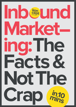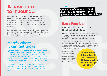"Content and **Inbound are like Salt and Vinegar.** Different, but still dependent upon each other"

In its most basic terms, **inbound marketing is about**  attracting customers, not chasing them. It's an entire role reversal from traditional offline marketing methods whereby prospects are hounded with offers and sales, regardless if they have zero interest in the product or services.

Inbound is essentially connecting with your prospects via personalised communication and providing a unique user journey that speaks directly to their needs or pains at exactly the right time in their buying cycle.

**Your customer's buying cycle is pivotal to the entire inbound marketing show.** Without understanding it, you can't succeed. But how can you go about this? Extensive persona research and a clear comprehension of how long it takes to close a sale means you'll be able to have a 360 view of when your prospect is cold or hot.

**There is a clear difference. It's often debated 'What's the difference between content marketing and inbound and increase of the state of the state of the state of the state of the state of the state of the state of the s marketing?',** however the answer is pretty simple; content marketing is a subset of an inbound marketing strategy.

Even though you may think you know your customers, only once you're armed with this in-depth information can you even begin to implement an inbound marketing strategy.

**Only [32%](http://www.slideshare.net/hschulze/b2b-content-marketing-report-40688285) of marketers have dedicated content to suppor<sup>t</sup> different stages in the buying cycle**

## **Here's where it can get tricky**

## **Inbound Marketing Isn't Content Marketing Basic Fact No.1**

Having a blog and quality targeted content that speaks to the buying journey stages is great, but what about the rest? What about the fully integrated website with a seamless user experience, or smart lead nurturing that helps you guide prospects through the funnel?

Inbound marketing is the entire lifecycle of a campaign or marketing strategy content marketing is a fundamental asset in making it work.

# **A basic intro to Inbound...**

#### **Link**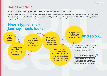## **Start The Journey Where You Should: With The User**

Before you can get down to the fun stuff and create your content marketing strategy, it helps to formally map out your customers user journey. Your website is no longer a brochure for your services; it's an entire experience that users want to engage with. Inbound marketers are using this immersive approach to their advantage by creating a seamless and personalised user journey that ensures they are being led down the marketing funnel that ends in a positive purchasing decision.

## **Basic Fact No.2**

## **How a typical user journey should look:**

**And so on... Link**

**Locating weak points in your customer journey is essential, especially as** customers are becoming more savvy to poor user experiences. **[With 67% of the buying journey](https://www.siriusdecisions.com/Blog/2013/Jul/Three-Myths-of-the-67-Percent-Statistic.aspx)  [happening on digital platforms,](https://www.siriusdecisions.com/Blog/2013/Jul/Three-Myths-of-the-67-Percent-Statistic.aspx) the user journey must be compatible with all devices to ensure a cohesive experience throughout all touchpoints with your brand.**

**Strong call to actions inspire the customer to interact with the website**

**Customer is led to a landing page promoting an offer or downloadable collateral**

**Landing page is optimised for data capturing where customers can enter their details**

> **With their details in your marketing automation, you begin to nurture them via social media or email marketing with more content and offers**

**The nurturing cycle brings customer back to the website**

**Customer comes to your website**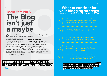## **Prioritise blogging and you'll be [13x more likely](http://blog.hubspot.com/marketing/business-blogging-in-2015) to see positive ROI**

## **And finally, don't be a carbon copy of competitors - use data to influence**

**your ideas but be innovative.** 



**Quite frankly it's a must in our current digital marketing age,** where content is being consumed like your Nan's best hot dinner. Blogging allows you to provide valuable information that your prospects are after - but only if you spend time researching, planning and devising a targeted blogging schedule that speaks to the needs of your audience. When your blog is fully integrated with email and social media, it means you're leveraging this one platform and

transforming into a lead generation machine.

Your target customers will subscribe to the blog, share blog posts on social media to their wider communities and interact with the content, but more importantly, they will want to know more, hence the importance of strong call to actions pushing them further down the funnel.

# **Basic Fact No.3 The Blog isn't just a maybe**

#### **Link**

## **What to consider for your blogging strategy:** Align these trends to your own business values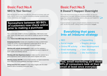SEO has become the most cost effective channel to increase visits and leads, and it's vital to any inbound marketing campaign because quite simply, everybody uses Google.

### **Somewhere between 80-90% of customers now check online prior to making a purchase**

The current state of SEO is all about collaboration. SEO teams need other teams, but other teams need SEO to create an inbound strategy will work.

How? **Here's how SEO helps drive the overall inbound strategy:**

**Analysing keywords,** trends and competitors to help a content team create link worthy, keyword optimised content that will be seen as 'quality' in the eyes of both both user and search engine.

## **SEO Is Your Saviour Basic Fact No.4**

**Working with website development** to make sure the website is structured correctly, is fast and easily crawlable by search engines on both mobile and desktop devices.

**Working with User Experience teams** to make sure the website has a good experience and is useful for both search engines and users.

**Working closely with PR** to ensure that websites we look to build links from match the brand guidelines and target audience.

**Diving head first into analytics** to help share insights with the wider teams to aid in increasing conversion rates.

This is the most honest thing an inbound marketer can tell you; transparency at its best. Inbound marketing generates [54% more](http://www.slideshare.net/HubSpot/what-is-inbound-marketing-29665969/16-Inbound_Creates_More_Leads54more_leads)  [leads](http://www.slideshare.net/HubSpot/what-is-inbound-marketing-29665969/16-Inbound_Creates_More_Leads54more_leads) than outbound marketing, which is why you can't expect to **Link** see a quick return on investment.

## **It Doesn't Happen Overnight Basic Fact No.5**

A good marketer or agency should indicate a timeline for the first year, not the first month, setting realistic performance targets.

- SEO
- Social media
- Online PR activity
- Email marketing
- Content strategy

## • Copywriting • Graphic design • Web development • User Journeys • Site maintenance **Everything that goes Into an inbound strategy Psst, email marketing ain't dead: [91%](http://www.exacttarget.com/resource-center/digital-marketing/2014-mobile-behavior-report?ls=Blog&lss=Blog.2014MobileBehaviorReport&lssm=Corporate&camp=701A0000000gGftIAE) of consumers look at their**